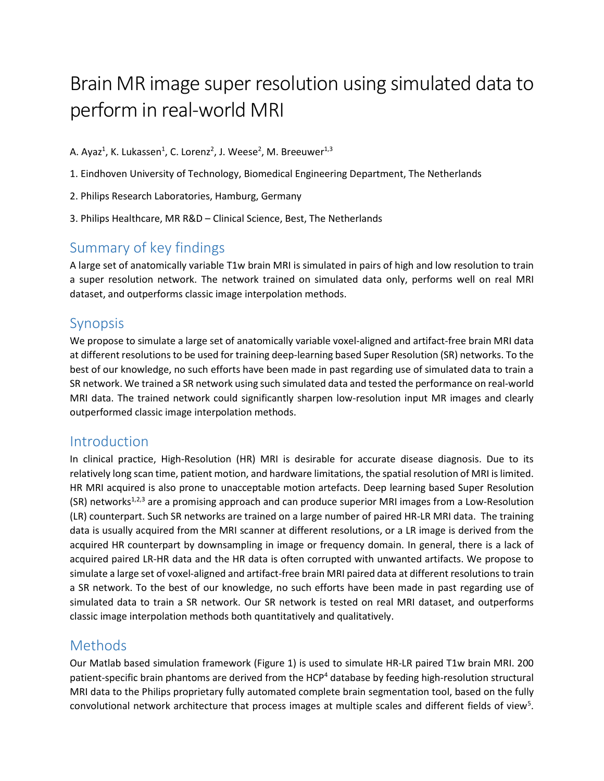# Brain MR image super resolution using simulated data to perform in real-world MRI

A. Ayaz<sup>1</sup>, K. Lukassen<sup>1</sup>, C. Lorenz<sup>2</sup>, J. Weese<sup>2</sup>, M. Breeuwer<sup>1,3</sup>

- 1. Eindhoven University of Technology, Biomedical Engineering Department, The Netherlands
- 2. Philips Research Laboratories, Hamburg, Germany
- 3. Philips Healthcare, MR R&D Clinical Science, Best, The Netherlands

## Summary of key findings

A large set of anatomically variable T1w brain MRI is simulated in pairs of high and low resolution to train a super resolution network. The network trained on simulated data only, performs well on real MRI dataset, and outperforms classic image interpolation methods.

#### Synopsis

We propose to simulate a large set of anatomically variable voxel-aligned and artifact-free brain MRI data at different resolutions to be used for training deep-learning based Super Resolution (SR) networks. To the best of our knowledge, no such efforts have been made in past regarding use of simulated data to train a SR network. We trained a SR network using such simulated data and tested the performance on real-world MRI data. The trained network could significantly sharpen low-resolution input MR images and clearly outperformed classic image interpolation methods.

#### Introduction

In clinical practice, High-Resolution (HR) MRI is desirable for accurate disease diagnosis. Due to its relatively long scan time, patient motion, and hardware limitations, the spatial resolution of MRI is limited. HR MRI acquired is also prone to unacceptable motion artefacts. Deep learning based Super Resolution  $(SR)$  networks<sup>1,2,3</sup> are a promising approach and can produce superior MRI images from a Low-Resolution (LR) counterpart. Such SR networks are trained on a large number of paired HR-LR MRI data. The training data is usually acquired from the MRI scanner at different resolutions, or a LR image is derived from the acquired HR counterpart by downsampling in image or frequency domain. In general, there is a lack of acquired paired LR-HR data and the HR data is often corrupted with unwanted artifacts. We propose to simulate a large set of voxel-aligned and artifact-free brain MRI paired data at different resolutionsto train a SR network. To the best of our knowledge, no such efforts have been made in past regarding use of simulated data to train a SR network. Our SR network is tested on real MRI dataset, and outperforms classic image interpolation methods both quantitatively and qualitatively.

## Methods

Our Matlab based simulation framework (Figure 1) is used to simulate HR-LR paired T1w brain MRI. 200 patient-specific brain phantoms are derived from the HCP<sup>4</sup> database by feeding high-resolution structural MRI data to the Philips proprietary fully automated complete brain segmentation tool, based on the fully convolutional network architecture that process images at multiple scales and different fields of view<sup>5</sup>.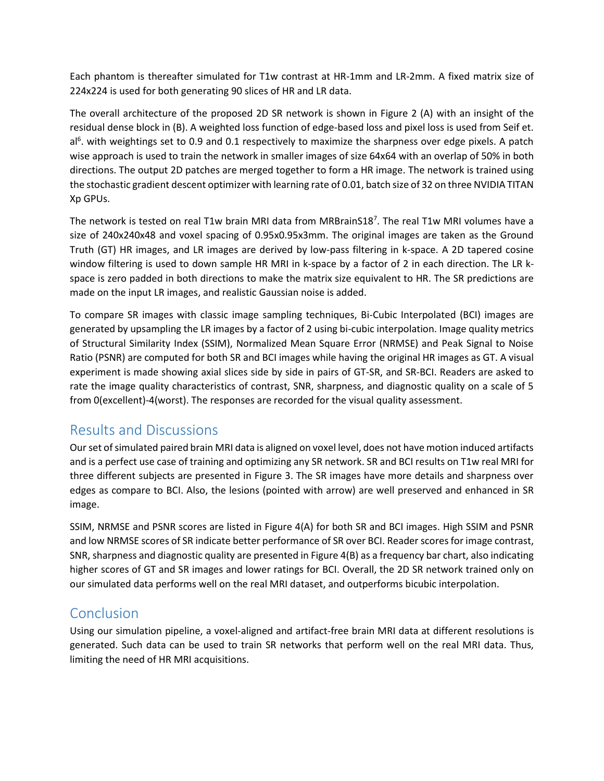Each phantom is thereafter simulated for T1w contrast at HR-1mm and LR-2mm. A fixed matrix size of 224x224 is used for both generating 90 slices of HR and LR data.

The overall architecture of the proposed 2D SR network is shown in Figure 2 (A) with an insight of the residual dense block in (B). A weighted loss function of edge-based loss and pixel loss is used from Seif et. al<sup>6</sup>. with weightings set to 0.9 and 0.1 respectively to maximize the sharpness over edge pixels. A patch wise approach is used to train the network in smaller images of size 64x64 with an overlap of 50% in both directions. The output 2D patches are merged together to form a HR image. The network is trained using the stochastic gradient descent optimizer with learning rate of 0.01, batch size of 32 on three NVIDIA TITAN Xp GPUs.

The network is tested on real T1w brain MRI data from MRBrainS18<sup>7</sup>. The real T1w MRI volumes have a size of 240x240x48 and voxel spacing of 0.95x0.95x3mm. The original images are taken as the Ground Truth (GT) HR images, and LR images are derived by low-pass filtering in k-space. A 2D tapered cosine window filtering is used to down sample HR MRI in k-space by a factor of 2 in each direction. The LR kspace is zero padded in both directions to make the matrix size equivalent to HR. The SR predictions are made on the input LR images, and realistic Gaussian noise is added.

To compare SR images with classic image sampling techniques, Bi-Cubic Interpolated (BCI) images are generated by upsampling the LR images by a factor of 2 using bi-cubic interpolation. Image quality metrics of Structural Similarity Index (SSIM), Normalized Mean Square Error (NRMSE) and Peak Signal to Noise Ratio (PSNR) are computed for both SR and BCI images while having the original HR images as GT. A visual experiment is made showing axial slices side by side in pairs of GT-SR, and SR-BCI. Readers are asked to rate the image quality characteristics of contrast, SNR, sharpness, and diagnostic quality on a scale of 5 from 0(excellent)-4(worst). The responses are recorded for the visual quality assessment.

## Results and Discussions

Our set of simulated paired brain MRI data is aligned on voxel level, does not have motion induced artifacts and is a perfect use case of training and optimizing any SR network. SR and BCI results on T1w real MRI for three different subjects are presented in Figure 3. The SR images have more details and sharpness over edges as compare to BCI. Also, the lesions (pointed with arrow) are well preserved and enhanced in SR image.

SSIM, NRMSE and PSNR scores are listed in Figure 4(A) for both SR and BCI images. High SSIM and PSNR and low NRMSE scores of SR indicate better performance of SR over BCI. Reader scores for image contrast, SNR, sharpness and diagnostic quality are presented in Figure 4(B) as a frequency bar chart, also indicating higher scores of GT and SR images and lower ratings for BCI. Overall, the 2D SR network trained only on our simulated data performs well on the real MRI dataset, and outperforms bicubic interpolation.

## Conclusion

Using our simulation pipeline, a voxel-aligned and artifact-free brain MRI data at different resolutions is generated. Such data can be used to train SR networks that perform well on the real MRI data. Thus, limiting the need of HR MRI acquisitions.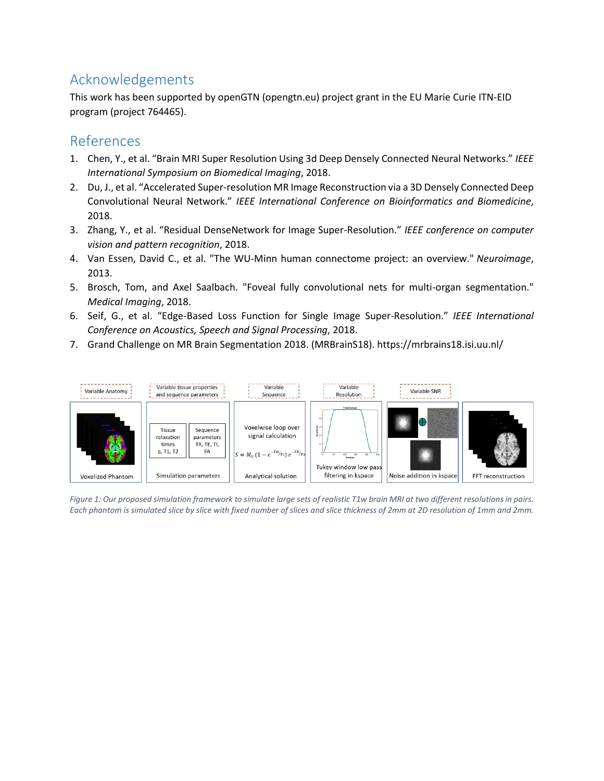## Acknowledgements

This work has been supported by openGTN (opengtn.eu) project grant in the EU Marie Curie ITN-EID program (project 764465).

#### References

- 1. Chen, Y., et al. "Brain MRI Super Resolution Using 3d Deep Densely Connected Neural Networks." *IEEE International Symposium on Biomedical Imaging*, 2018.
- 2. Du, J., et al. "Accelerated Super-resolution MR Image Reconstruction via a 3D Densely Connected Deep Convolutional Neural Network." *IEEE International Conference on Bioinformatics and Biomedicine*, 2018.
- 3. Zhang, Y., et al. "Residual DenseNetwork for Image Super-Resolution." *IEEE conference on computer vision and pattern recognition*, 2018.
- 4. Van Essen, David C., et al. "The WU-Minn human connectome project: an overview." *Neuroimage*, 2013.
- 5. Brosch, Tom, and Axel Saalbach. "Foveal fully convolutional nets for multi-organ segmentation." *Medical Imaging*, 2018.
- 6. Seif, G., et al. "Edge-Based Loss Function for Single Image Super-Resolution." *IEEE International Conference on Acoustics, Speech and Signal Processing*, 2018.
- 7. Grand Challenge on MR Brain Segmentation 2018. (MRBrainS18). https://mrbrains18.isi.uu.nl/



*Figure 1: Our proposed simulation framework to simulate large sets of realistic T1w brain MRI at two different resolutions in pairs. Each phantom is simulated slice by slice with fixed number of slices and slice thickness of 2mm at 2D resolution of 1mm and 2mm.*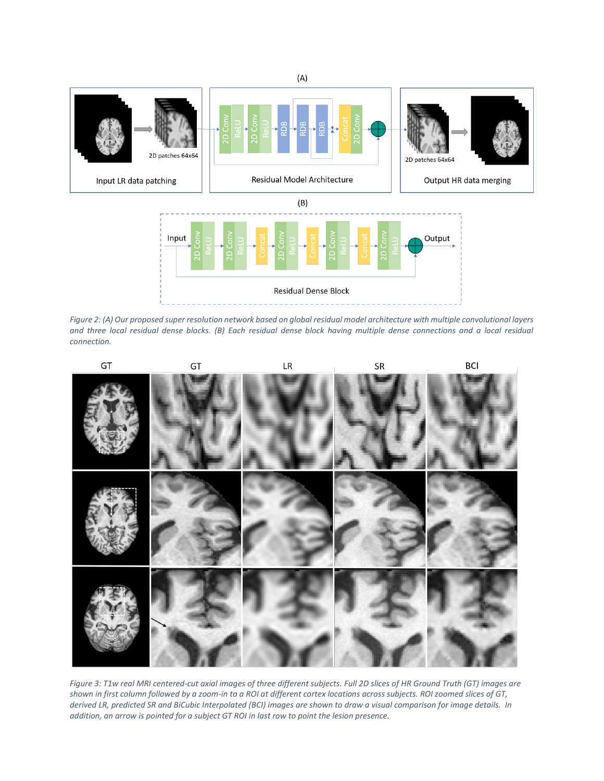

*Figure 2: (A) Our proposed super resolution network based on global residual model architecture with multiple convolutional layers and three local residual dense blocks. (B) Each residual dense block having multiple dense connections and a local residual connection.*



*Figure 3: T1w real MRI centered-cut axial images of three different subjects. Full 2D slices of HR Ground Truth (GT) images are shown in first column followed by a zoom-in to a ROI at different cortex locations across subjects. ROI zoomed slices of GT, derived LR, predicted SR and BiCubic Interpolated (BCI) images are shown to draw a visual comparison for image details. In addition, an arrow is pointed for a subject GT ROI in last row to point the lesion presence.*